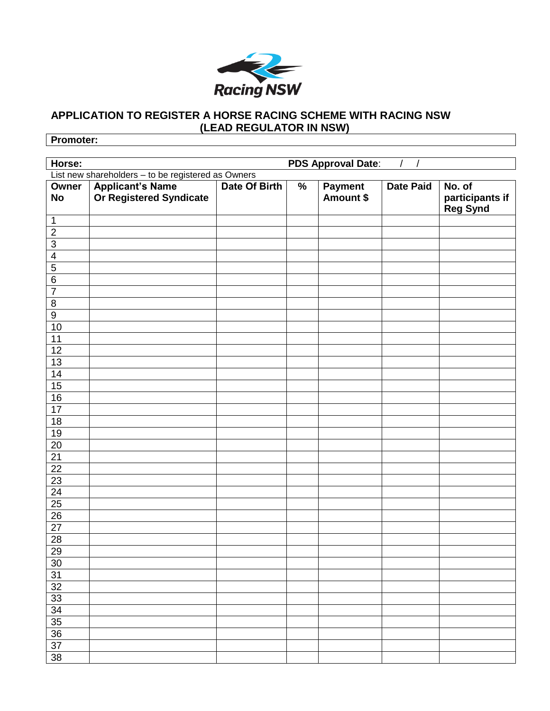

## **APPLICATION TO REGISTER A HORSE RACING SCHEME WITH RACING NSW (LEAD REGULATOR IN NSW)**

**Promoter:**

| Horse:                                             |                                                    |               | <b>PDS Approval Date:</b> |                      |                  |                                                           |  |  |  |
|----------------------------------------------------|----------------------------------------------------|---------------|---------------------------|----------------------|------------------|-----------------------------------------------------------|--|--|--|
| List new shareholders - to be registered as Owners |                                                    |               |                           |                      |                  |                                                           |  |  |  |
| Owner<br><b>No</b>                                 | <b>Applicant's Name</b><br>Or Registered Syndicate | Date Of Birth | $\%$                      | Payment<br>Amount \$ | <b>Date Paid</b> | $\overline{No.}$ of<br>participants if<br><b>Reg Synd</b> |  |  |  |
| 1                                                  |                                                    |               |                           |                      |                  |                                                           |  |  |  |
| $\overline{2}$                                     |                                                    |               |                           |                      |                  |                                                           |  |  |  |
| $\overline{3}$                                     |                                                    |               |                           |                      |                  |                                                           |  |  |  |
| $\overline{4}$                                     |                                                    |               |                           |                      |                  |                                                           |  |  |  |
| $\overline{5}$                                     |                                                    |               |                           |                      |                  |                                                           |  |  |  |
| $\overline{6}$                                     |                                                    |               |                           |                      |                  |                                                           |  |  |  |
| $\overline{7}$                                     |                                                    |               |                           |                      |                  |                                                           |  |  |  |
| $\overline{8}$                                     |                                                    |               |                           |                      |                  |                                                           |  |  |  |
| $\overline{9}$                                     |                                                    |               |                           |                      |                  |                                                           |  |  |  |
| $10$                                               |                                                    |               |                           |                      |                  |                                                           |  |  |  |
| $11$                                               |                                                    |               |                           |                      |                  |                                                           |  |  |  |
| $\overline{12}$                                    |                                                    |               |                           |                      |                  |                                                           |  |  |  |
| $\overline{13}$                                    |                                                    |               |                           |                      |                  |                                                           |  |  |  |
| $\frac{14}{15}$                                    |                                                    |               |                           |                      |                  |                                                           |  |  |  |
|                                                    |                                                    |               |                           |                      |                  |                                                           |  |  |  |
| $\frac{16}{17}$                                    |                                                    |               |                           |                      |                  |                                                           |  |  |  |
|                                                    |                                                    |               |                           |                      |                  |                                                           |  |  |  |
| 18                                                 |                                                    |               |                           |                      |                  |                                                           |  |  |  |
| 19                                                 |                                                    |               |                           |                      |                  |                                                           |  |  |  |
| $\frac{20}{21}$                                    |                                                    |               |                           |                      |                  |                                                           |  |  |  |
|                                                    |                                                    |               |                           |                      |                  |                                                           |  |  |  |
| $\overline{22}$                                    |                                                    |               |                           |                      |                  |                                                           |  |  |  |
| 23                                                 |                                                    |               |                           |                      |                  |                                                           |  |  |  |
| $\overline{24}$                                    |                                                    |               |                           |                      |                  |                                                           |  |  |  |
| $\frac{25}{26}$                                    |                                                    |               |                           |                      |                  |                                                           |  |  |  |
|                                                    |                                                    |               |                           |                      |                  |                                                           |  |  |  |
| $\frac{27}{28}$                                    |                                                    |               |                           |                      |                  |                                                           |  |  |  |
|                                                    |                                                    |               |                           |                      |                  |                                                           |  |  |  |
| $\overline{29}$                                    |                                                    |               |                           |                      |                  |                                                           |  |  |  |
| 30                                                 |                                                    |               |                           |                      |                  |                                                           |  |  |  |
| $\overline{31}$                                    |                                                    |               |                           |                      |                  |                                                           |  |  |  |
| $\overline{32}$                                    |                                                    |               |                           |                      |                  |                                                           |  |  |  |
| $\overline{33}$                                    |                                                    |               |                           |                      |                  |                                                           |  |  |  |
| $\overline{34}$                                    |                                                    |               |                           |                      |                  |                                                           |  |  |  |
| $\overline{35}$                                    |                                                    |               |                           |                      |                  |                                                           |  |  |  |
| 36                                                 |                                                    |               |                           |                      |                  |                                                           |  |  |  |
| 37                                                 |                                                    |               |                           |                      |                  |                                                           |  |  |  |
| $\overline{38}$                                    |                                                    |               |                           |                      |                  |                                                           |  |  |  |